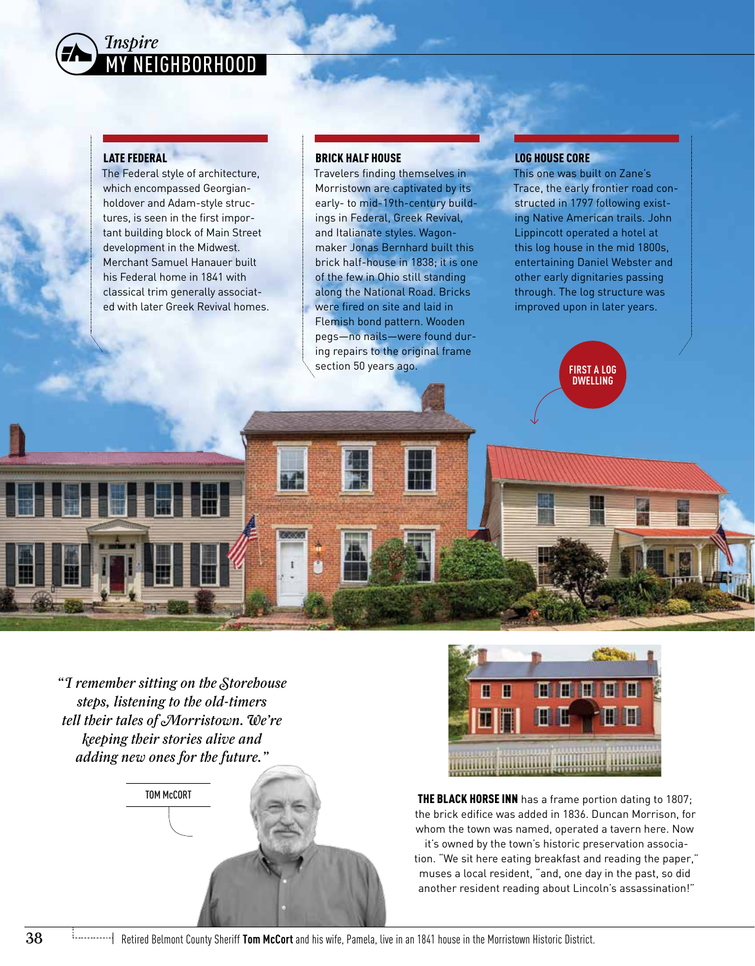

## LATE FEDERAL

The Federal style of architecture, which encompassed Georgianholdover and Adam-style structures, is seen in the first important building block of Main Street development in the Midwest. Merchant Samuel Hanauer built his Federal home in 1841 with classical trim generally associated with later Greek Revival homes.

### BRICK HALF HOUSE

Travelers finding themselves in Morristown are captivated by its early- to mid-19th-century buildings in Federal, Greek Revival, and Italianate styles. Wagonmaker Jonas Bernhard built this brick half-house in 1838; it is one of the few in Ohio still standing along the National Road. Bricks were fired on site and laid in Flemish bond pattern. Wooden pegs—no nails—were found during repairs to the original frame section 50 years ago.

## LOG HOUSE CORE

This one was built on Zane's Trace, the early frontier road constructed in 1797 following existing Native American trails. John Lippincott operated a hotel at this log house in the mid 1800s, entertaining Daniel Webster and other early dignitaries passing through. The log structure was improved upon in later years.

> **FIRST A LOG DWELLING**

*" I remember sitting on the Storehouse steps, listening to the old-timers tell their tales of Morristown. We're keeping their stories alive and adding new ones for the future."*





THE BLACK HORSE INN has a frame portion dating to 1807; the brick edifice was added in 1836. Duncan Morrison, for whom the town was named, operated a tavern here. Now it's owned by the town's historic preservation association. "We sit here eating breakfast and reading the paper," muses a local resident, "and, one day in the past, so did

another resident reading about Lincoln's assassination!"